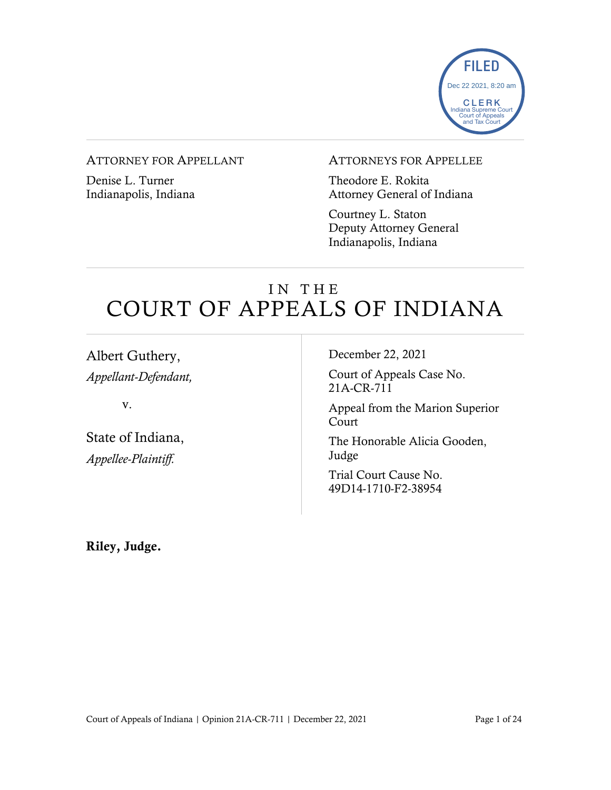

### ATTORNEY FOR APPELLANT

Denise L. Turner Indianapolis, Indiana

### ATTORNEYS FOR APPELLEE

Theodore E. Rokita Attorney General of Indiana

Courtney L. Staton Deputy Attorney General Indianapolis, Indiana

# IN THE COURT OF APPEALS OF INDIANA

Albert Guthery, *Appellant-Defendant,*

v.

State of Indiana, *Appellee-Plaintiff.*

December 22, 2021

Court of Appeals Case No. 21A-CR-711

Appeal from the Marion Superior Court

The Honorable Alicia Gooden, Judge

Trial Court Cause No. 49D14-1710-F2-38954

Riley, Judge.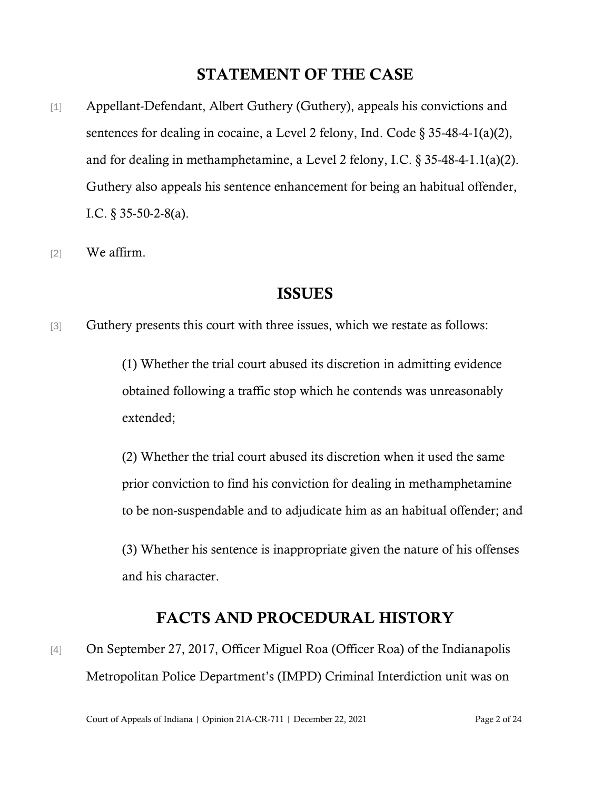# STATEMENT OF THE CASE

- [1] Appellant-Defendant, Albert Guthery (Guthery), appeals his convictions and sentences for dealing in cocaine, a Level 2 felony, Ind. Code § 35-48-4-1(a)(2), and for dealing in methamphetamine, a Level 2 felony, I.C. § 35-48-4-1.1(a)(2). Guthery also appeals his sentence enhancement for being an habitual offender, I.C. § 35-50-2-8(a).
- [2] We affirm.

# ISSUES

[3] Guthery presents this court with three issues, which we restate as follows:

(1) Whether the trial court abused its discretion in admitting evidence obtained following a traffic stop which he contends was unreasonably extended;

(2) Whether the trial court abused its discretion when it used the same prior conviction to find his conviction for dealing in methamphetamine to be non-suspendable and to adjudicate him as an habitual offender; and

(3) Whether his sentence is inappropriate given the nature of his offenses and his character.

# FACTS AND PROCEDURAL HISTORY

[4] On September 27, 2017, Officer Miguel Roa (Officer Roa) of the Indianapolis Metropolitan Police Department's (IMPD) Criminal Interdiction unit was on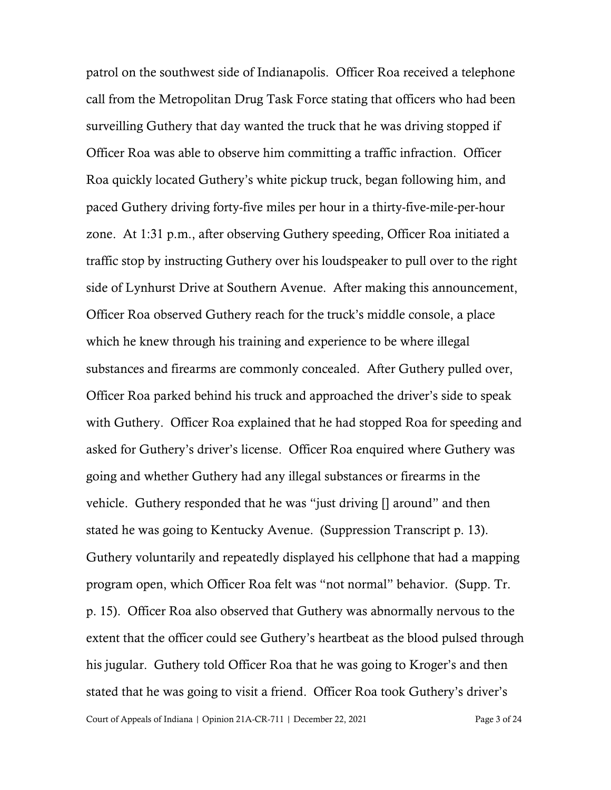Court of Appeals of Indiana | Opinion 21A-CR-711 | December 22, 2021 Page 3 of 24 patrol on the southwest side of Indianapolis. Officer Roa received a telephone call from the Metropolitan Drug Task Force stating that officers who had been surveilling Guthery that day wanted the truck that he was driving stopped if Officer Roa was able to observe him committing a traffic infraction. Officer Roa quickly located Guthery's white pickup truck, began following him, and paced Guthery driving forty-five miles per hour in a thirty-five-mile-per-hour zone. At 1:31 p.m., after observing Guthery speeding, Officer Roa initiated a traffic stop by instructing Guthery over his loudspeaker to pull over to the right side of Lynhurst Drive at Southern Avenue. After making this announcement, Officer Roa observed Guthery reach for the truck's middle console, a place which he knew through his training and experience to be where illegal substances and firearms are commonly concealed. After Guthery pulled over, Officer Roa parked behind his truck and approached the driver's side to speak with Guthery. Officer Roa explained that he had stopped Roa for speeding and asked for Guthery's driver's license. Officer Roa enquired where Guthery was going and whether Guthery had any illegal substances or firearms in the vehicle. Guthery responded that he was "just driving [] around" and then stated he was going to Kentucky Avenue. (Suppression Transcript p. 13). Guthery voluntarily and repeatedly displayed his cellphone that had a mapping program open, which Officer Roa felt was "not normal" behavior. (Supp. Tr. p. 15). Officer Roa also observed that Guthery was abnormally nervous to the extent that the officer could see Guthery's heartbeat as the blood pulsed through his jugular. Guthery told Officer Roa that he was going to Kroger's and then stated that he was going to visit a friend. Officer Roa took Guthery's driver's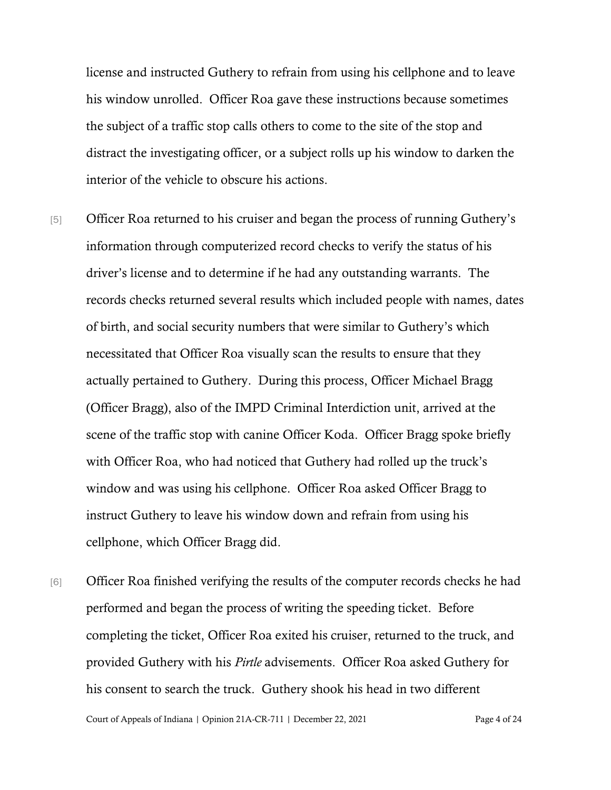license and instructed Guthery to refrain from using his cellphone and to leave his window unrolled. Officer Roa gave these instructions because sometimes the subject of a traffic stop calls others to come to the site of the stop and distract the investigating officer, or a subject rolls up his window to darken the interior of the vehicle to obscure his actions.

- [5] Officer Roa returned to his cruiser and began the process of running Guthery's information through computerized record checks to verify the status of his driver's license and to determine if he had any outstanding warrants. The records checks returned several results which included people with names, dates of birth, and social security numbers that were similar to Guthery's which necessitated that Officer Roa visually scan the results to ensure that they actually pertained to Guthery. During this process, Officer Michael Bragg (Officer Bragg), also of the IMPD Criminal Interdiction unit, arrived at the scene of the traffic stop with canine Officer Koda. Officer Bragg spoke briefly with Officer Roa, who had noticed that Guthery had rolled up the truck's window and was using his cellphone. Officer Roa asked Officer Bragg to instruct Guthery to leave his window down and refrain from using his cellphone, which Officer Bragg did.
- [6] Officer Roa finished verifying the results of the computer records checks he had performed and began the process of writing the speeding ticket. Before completing the ticket, Officer Roa exited his cruiser, returned to the truck, and provided Guthery with his *Pirtle* advisements. Officer Roa asked Guthery for his consent to search the truck. Guthery shook his head in two different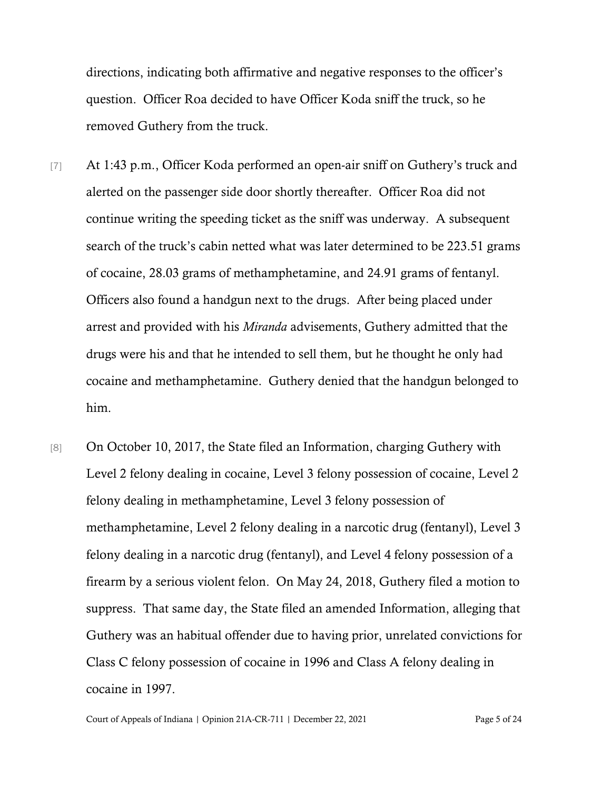directions, indicating both affirmative and negative responses to the officer's question. Officer Roa decided to have Officer Koda sniff the truck, so he removed Guthery from the truck.

- [7] At 1:43 p.m., Officer Koda performed an open-air sniff on Guthery's truck and alerted on the passenger side door shortly thereafter. Officer Roa did not continue writing the speeding ticket as the sniff was underway. A subsequent search of the truck's cabin netted what was later determined to be 223.51 grams of cocaine, 28.03 grams of methamphetamine, and 24.91 grams of fentanyl. Officers also found a handgun next to the drugs. After being placed under arrest and provided with his *Miranda* advisements, Guthery admitted that the drugs were his and that he intended to sell them, but he thought he only had cocaine and methamphetamine. Guthery denied that the handgun belonged to him.
- [8] On October 10, 2017, the State filed an Information, charging Guthery with Level 2 felony dealing in cocaine, Level 3 felony possession of cocaine, Level 2 felony dealing in methamphetamine, Level 3 felony possession of methamphetamine, Level 2 felony dealing in a narcotic drug (fentanyl), Level 3 felony dealing in a narcotic drug (fentanyl), and Level 4 felony possession of a firearm by a serious violent felon. On May 24, 2018, Guthery filed a motion to suppress. That same day, the State filed an amended Information, alleging that Guthery was an habitual offender due to having prior, unrelated convictions for Class C felony possession of cocaine in 1996 and Class A felony dealing in cocaine in 1997.

Court of Appeals of Indiana | Opinion 21A-CR-711 | December 22, 2021 Page 5 of 24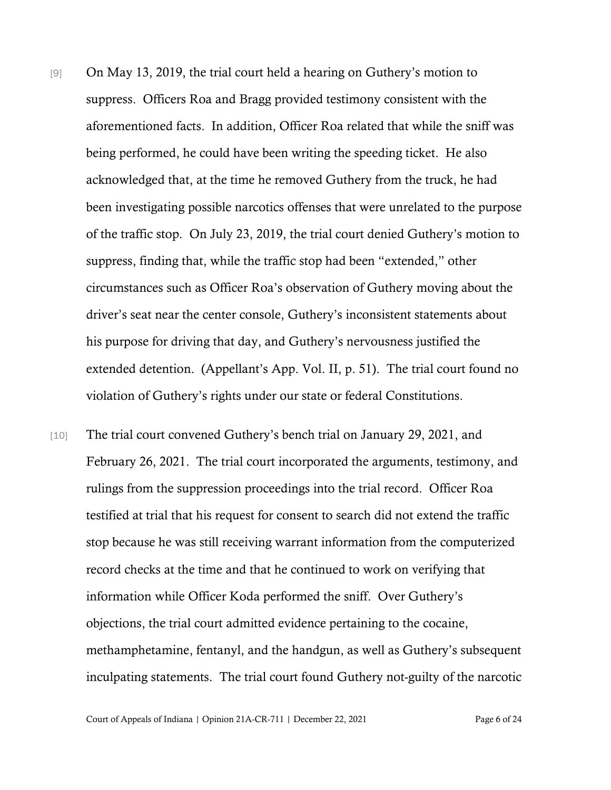- [9] On May 13, 2019, the trial court held a hearing on Guthery's motion to suppress. Officers Roa and Bragg provided testimony consistent with the aforementioned facts. In addition, Officer Roa related that while the sniff was being performed, he could have been writing the speeding ticket. He also acknowledged that, at the time he removed Guthery from the truck, he had been investigating possible narcotics offenses that were unrelated to the purpose of the traffic stop. On July 23, 2019, the trial court denied Guthery's motion to suppress, finding that, while the traffic stop had been "extended," other circumstances such as Officer Roa's observation of Guthery moving about the driver's seat near the center console, Guthery's inconsistent statements about his purpose for driving that day, and Guthery's nervousness justified the extended detention. (Appellant's App. Vol. II, p. 51). The trial court found no violation of Guthery's rights under our state or federal Constitutions.
- [10] The trial court convened Guthery's bench trial on January 29, 2021, and February 26, 2021. The trial court incorporated the arguments, testimony, and rulings from the suppression proceedings into the trial record. Officer Roa testified at trial that his request for consent to search did not extend the traffic stop because he was still receiving warrant information from the computerized record checks at the time and that he continued to work on verifying that information while Officer Koda performed the sniff. Over Guthery's objections, the trial court admitted evidence pertaining to the cocaine, methamphetamine, fentanyl, and the handgun, as well as Guthery's subsequent inculpating statements. The trial court found Guthery not-guilty of the narcotic

Court of Appeals of Indiana | Opinion 21A-CR-711 | December 22, 2021 Page 6 of 24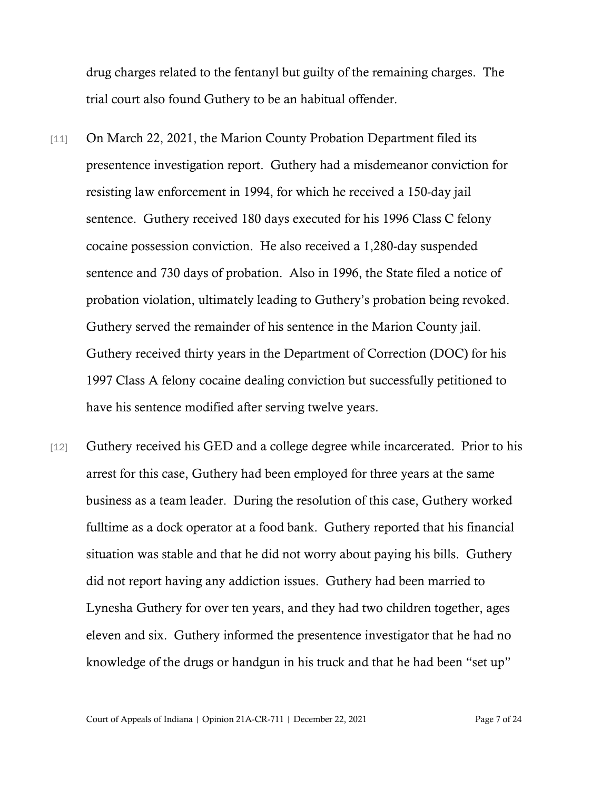drug charges related to the fentanyl but guilty of the remaining charges. The trial court also found Guthery to be an habitual offender.

- [11] On March 22, 2021, the Marion County Probation Department filed its presentence investigation report. Guthery had a misdemeanor conviction for resisting law enforcement in 1994, for which he received a 150-day jail sentence. Guthery received 180 days executed for his 1996 Class C felony cocaine possession conviction. He also received a 1,280-day suspended sentence and 730 days of probation. Also in 1996, the State filed a notice of probation violation, ultimately leading to Guthery's probation being revoked. Guthery served the remainder of his sentence in the Marion County jail. Guthery received thirty years in the Department of Correction (DOC) for his 1997 Class A felony cocaine dealing conviction but successfully petitioned to have his sentence modified after serving twelve years.
- [12] Guthery received his GED and a college degree while incarcerated. Prior to his arrest for this case, Guthery had been employed for three years at the same business as a team leader. During the resolution of this case, Guthery worked fulltime as a dock operator at a food bank. Guthery reported that his financial situation was stable and that he did not worry about paying his bills. Guthery did not report having any addiction issues. Guthery had been married to Lynesha Guthery for over ten years, and they had two children together, ages eleven and six. Guthery informed the presentence investigator that he had no knowledge of the drugs or handgun in his truck and that he had been "set up"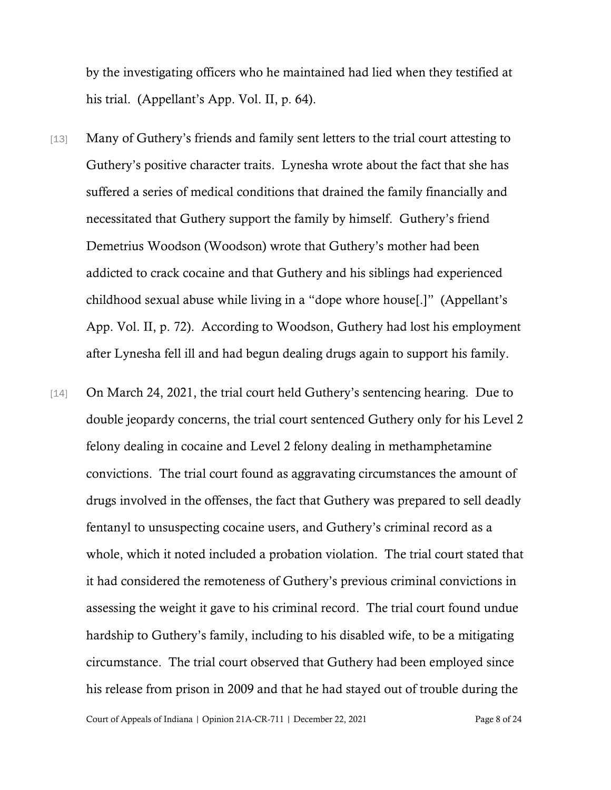by the investigating officers who he maintained had lied when they testified at his trial. (Appellant's App. Vol. II, p. 64).

- [13] Many of Guthery's friends and family sent letters to the trial court attesting to Guthery's positive character traits. Lynesha wrote about the fact that she has suffered a series of medical conditions that drained the family financially and necessitated that Guthery support the family by himself. Guthery's friend Demetrius Woodson (Woodson) wrote that Guthery's mother had been addicted to crack cocaine and that Guthery and his siblings had experienced childhood sexual abuse while living in a "dope whore house[.]" (Appellant's App. Vol. II, p. 72). According to Woodson, Guthery had lost his employment after Lynesha fell ill and had begun dealing drugs again to support his family.
- [14] On March 24, 2021, the trial court held Guthery's sentencing hearing. Due to double jeopardy concerns, the trial court sentenced Guthery only for his Level 2 felony dealing in cocaine and Level 2 felony dealing in methamphetamine convictions. The trial court found as aggravating circumstances the amount of drugs involved in the offenses, the fact that Guthery was prepared to sell deadly fentanyl to unsuspecting cocaine users, and Guthery's criminal record as a whole, which it noted included a probation violation. The trial court stated that it had considered the remoteness of Guthery's previous criminal convictions in assessing the weight it gave to his criminal record. The trial court found undue hardship to Guthery's family, including to his disabled wife, to be a mitigating circumstance. The trial court observed that Guthery had been employed since his release from prison in 2009 and that he had stayed out of trouble during the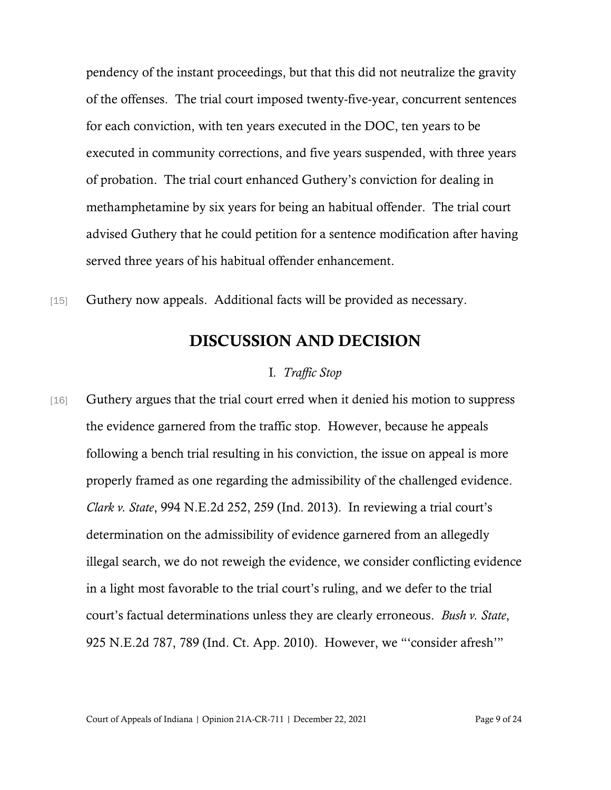pendency of the instant proceedings, but that this did not neutralize the gravity of the offenses. The trial court imposed twenty-five-year, concurrent sentences for each conviction, with ten years executed in the DOC, ten years to be executed in community corrections, and five years suspended, with three years of probation. The trial court enhanced Guthery's conviction for dealing in methamphetamine by six years for being an habitual offender. The trial court advised Guthery that he could petition for a sentence modification after having served three years of his habitual offender enhancement.

[15] Guthery now appeals. Additional facts will be provided as necessary.

# DISCUSSION AND DECISION

## I*. Traffic Stop*

[16] Guthery argues that the trial court erred when it denied his motion to suppress the evidence garnered from the traffic stop. However, because he appeals following a bench trial resulting in his conviction, the issue on appeal is more properly framed as one regarding the admissibility of the challenged evidence. *Clark v. State*, 994 N.E.2d 252, 259 (Ind. 2013). In reviewing a trial court's determination on the admissibility of evidence garnered from an allegedly illegal search, we do not reweigh the evidence, we consider conflicting evidence in a light most favorable to the trial court's ruling, and we defer to the trial court's factual determinations unless they are clearly erroneous. *Bush v. State*, 925 N.E.2d 787, 789 (Ind. Ct. App. 2010). However, we "'consider afresh'"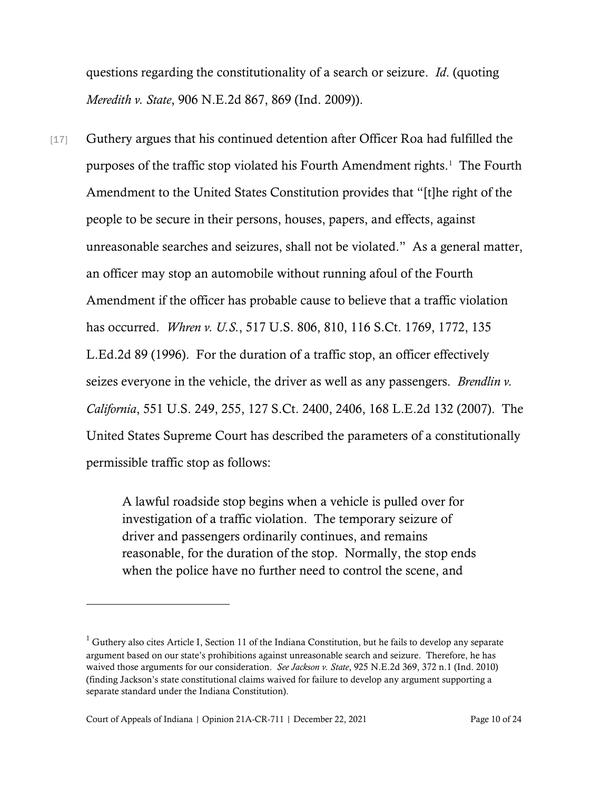questions regarding the constitutionality of a search or seizure. *Id*. (quoting *Meredith v. State*, 906 N.E.2d 867, 869 (Ind. 2009)).

[17] Guthery argues that his continued detention after Officer Roa had fulfilled the purposes of the traffic stop violated his Fourth Amendment rights. [1](#page-9-0) The Fourth Amendment to the United States Constitution provides that "[t]he right of the people to be secure in their persons, houses, papers, and effects, against unreasonable searches and seizures, shall not be violated." As a general matter, an officer may stop an automobile without running afoul of the Fourth Amendment if the officer has probable cause to believe that a traffic violation has occurred. *Whren v. U.S.*, 517 U.S. 806, 810, 116 S.Ct. 1769, 1772, 135 L.Ed.2d 89 (1996). For the duration of a traffic stop, an officer effectively seizes everyone in the vehicle, the driver as well as any passengers. *Brendlin v. California*, 551 U.S. 249, 255, 127 S.Ct. 2400, 2406, 168 L.E.2d 132 (2007). The United States Supreme Court has described the parameters of a constitutionally permissible traffic stop as follows:

> A lawful roadside stop begins when a vehicle is pulled over for investigation of a traffic violation. The temporary seizure of driver and passengers ordinarily continues, and remains reasonable, for the duration of the stop. Normally, the stop ends when the police have no further need to control the scene, and

<span id="page-9-0"></span> $1$  Guthery also cites Article I, Section 11 of the Indiana Constitution, but he fails to develop any separate argument based on our state's prohibitions against unreasonable search and seizure. Therefore, he has waived those arguments for our consideration. *See Jackson v. State*, 925 N.E.2d 369, 372 n.1 (Ind. 2010) (finding Jackson's state constitutional claims waived for failure to develop any argument supporting a separate standard under the Indiana Constitution).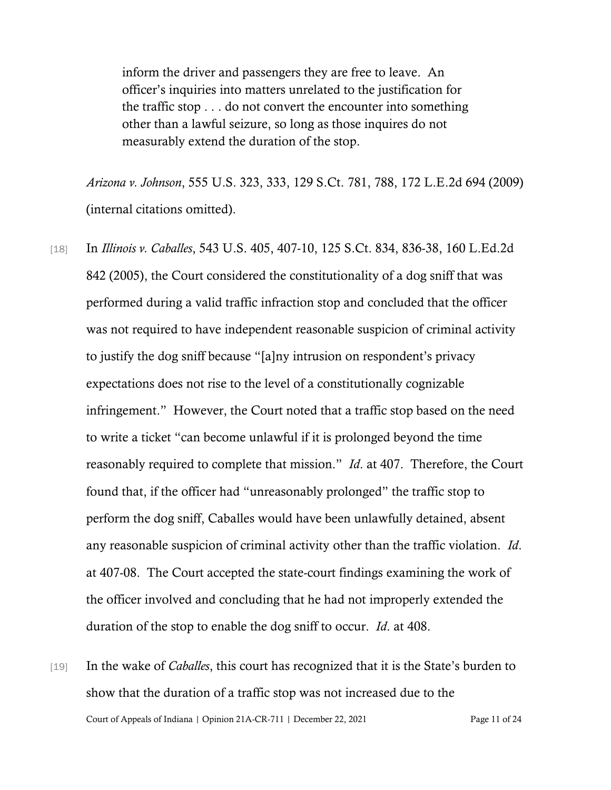inform the driver and passengers they are free to leave. An officer's inquiries into matters unrelated to the justification for the traffic stop . . . do not convert the encounter into something other than a lawful seizure, so long as those inquires do not measurably extend the duration of the stop.

*Arizona v. Johnson*, 555 U.S. 323, 333, 129 S.Ct. 781, 788, 172 L.E.2d 694 (2009) (internal citations omitted).

- [18] In *Illinois v. Caballes*, 543 U.S. 405, 407-10, 125 S.Ct. 834, 836-38, 160 L.Ed.2d 842 (2005), the Court considered the constitutionality of a dog sniff that was performed during a valid traffic infraction stop and concluded that the officer was not required to have independent reasonable suspicion of criminal activity to justify the dog sniff because "[a]ny intrusion on respondent's privacy expectations does not rise to the level of a constitutionally cognizable infringement." However, the Court noted that a traffic stop based on the need to write a ticket "can become unlawful if it is prolonged beyond the time reasonably required to complete that mission." *Id*. at 407. Therefore, the Court found that, if the officer had "unreasonably prolonged" the traffic stop to perform the dog sniff, Caballes would have been unlawfully detained, absent any reasonable suspicion of criminal activity other than the traffic violation. *Id*. at 407-08. The Court accepted the state-court findings examining the work of the officer involved and concluding that he had not improperly extended the duration of the stop to enable the dog sniff to occur. *Id*. at 408.
- Court of Appeals of Indiana | Opinion 21A-CR-711 | December 22, 2021 Page 11 of 24 [19] In the wake of *Caballes*, this court has recognized that it is the State's burden to show that the duration of a traffic stop was not increased due to the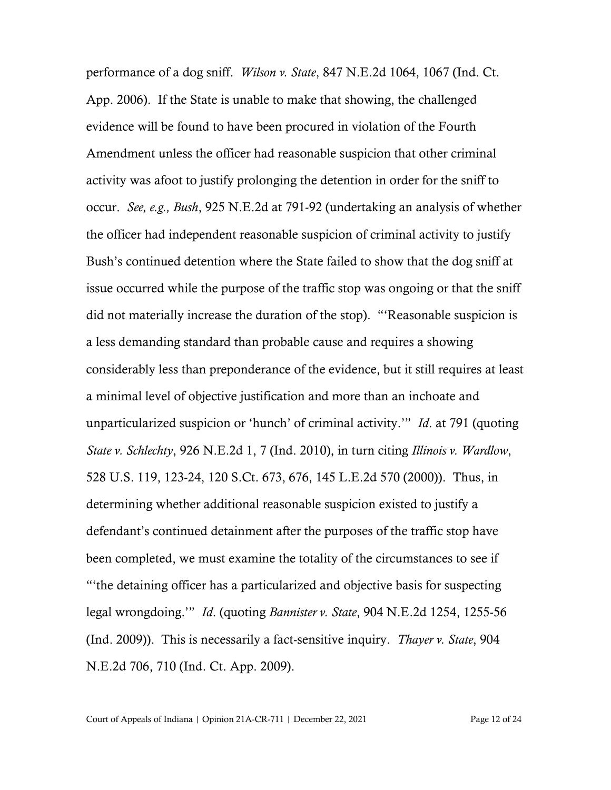performance of a dog sniff. *Wilson v. State*, 847 N.E.2d 1064, 1067 (Ind. Ct. App. 2006). If the State is unable to make that showing, the challenged evidence will be found to have been procured in violation of the Fourth Amendment unless the officer had reasonable suspicion that other criminal activity was afoot to justify prolonging the detention in order for the sniff to occur. *See, e.g., Bush*, 925 N.E.2d at 791-92 (undertaking an analysis of whether the officer had independent reasonable suspicion of criminal activity to justify Bush's continued detention where the State failed to show that the dog sniff at issue occurred while the purpose of the traffic stop was ongoing or that the sniff did not materially increase the duration of the stop). "'Reasonable suspicion is a less demanding standard than probable cause and requires a showing considerably less than preponderance of the evidence, but it still requires at least a minimal level of objective justification and more than an inchoate and unparticularized suspicion or 'hunch' of criminal activity.'" *Id*. at 791 (quoting *State v. Schlechty*, 926 N.E.2d 1, 7 (Ind. 2010), in turn citing *Illinois v. Wardlow*, 528 U.S. 119, 123-24, 120 S.Ct. 673, 676, 145 L.E.2d 570 (2000)). Thus, in determining whether additional reasonable suspicion existed to justify a defendant's continued detainment after the purposes of the traffic stop have been completed, we must examine the totality of the circumstances to see if "'the detaining officer has a particularized and objective basis for suspecting legal wrongdoing.'" *Id*. (quoting *Bannister v. State*, 904 N.E.2d 1254, 1255-56 (Ind. 2009)). This is necessarily a fact-sensitive inquiry. *Thayer v. State*, 904 N.E.2d 706, 710 (Ind. Ct. App. 2009).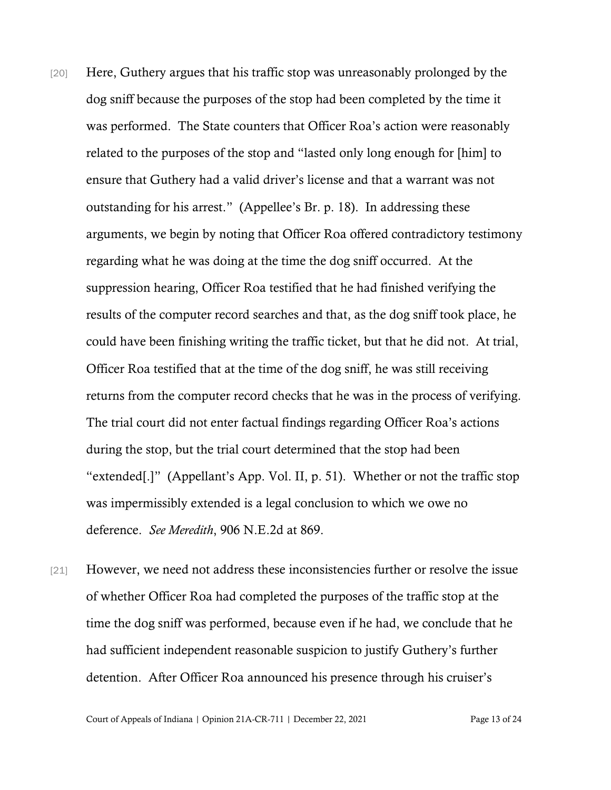- [20] Here, Guthery argues that his traffic stop was unreasonably prolonged by the dog sniff because the purposes of the stop had been completed by the time it was performed. The State counters that Officer Roa's action were reasonably related to the purposes of the stop and "lasted only long enough for [him] to ensure that Guthery had a valid driver's license and that a warrant was not outstanding for his arrest." (Appellee's Br. p. 18). In addressing these arguments, we begin by noting that Officer Roa offered contradictory testimony regarding what he was doing at the time the dog sniff occurred. At the suppression hearing, Officer Roa testified that he had finished verifying the results of the computer record searches and that, as the dog sniff took place, he could have been finishing writing the traffic ticket, but that he did not. At trial, Officer Roa testified that at the time of the dog sniff, he was still receiving returns from the computer record checks that he was in the process of verifying. The trial court did not enter factual findings regarding Officer Roa's actions during the stop, but the trial court determined that the stop had been "extended[.]" (Appellant's App. Vol. II, p. 51). Whether or not the traffic stop was impermissibly extended is a legal conclusion to which we owe no deference. *See Meredith*, 906 N.E.2d at 869.
- [21] However, we need not address these inconsistencies further or resolve the issue of whether Officer Roa had completed the purposes of the traffic stop at the time the dog sniff was performed, because even if he had, we conclude that he had sufficient independent reasonable suspicion to justify Guthery's further detention. After Officer Roa announced his presence through his cruiser's

Court of Appeals of Indiana | Opinion 21A-CR-711 | December 22, 2021 Page 13 of 24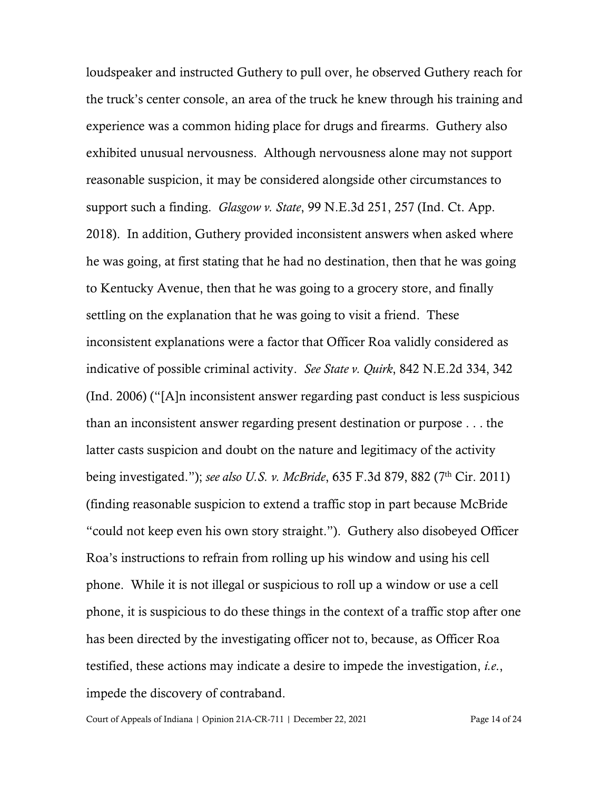loudspeaker and instructed Guthery to pull over, he observed Guthery reach for the truck's center console, an area of the truck he knew through his training and experience was a common hiding place for drugs and firearms. Guthery also exhibited unusual nervousness. Although nervousness alone may not support reasonable suspicion, it may be considered alongside other circumstances to support such a finding. *Glasgow v. State*, 99 N.E.3d 251, 257 (Ind. Ct. App. 2018). In addition, Guthery provided inconsistent answers when asked where he was going, at first stating that he had no destination, then that he was going to Kentucky Avenue, then that he was going to a grocery store, and finally settling on the explanation that he was going to visit a friend. These inconsistent explanations were a factor that Officer Roa validly considered as indicative of possible criminal activity. *See State v. Quirk*, 842 N.E.2d 334, 342 (Ind. 2006) ("[A]n inconsistent answer regarding past conduct is less suspicious than an inconsistent answer regarding present destination or purpose . . . the latter casts suspicion and doubt on the nature and legitimacy of the activity being investigated."); *see also U.S. v. McBride*, 635 F.3d 879, 882 (7th Cir. 2011) (finding reasonable suspicion to extend a traffic stop in part because McBride "could not keep even his own story straight."). Guthery also disobeyed Officer Roa's instructions to refrain from rolling up his window and using his cell phone. While it is not illegal or suspicious to roll up a window or use a cell phone, it is suspicious to do these things in the context of a traffic stop after one has been directed by the investigating officer not to, because, as Officer Roa testified, these actions may indicate a desire to impede the investigation, *i.e*., impede the discovery of contraband.

Court of Appeals of Indiana | Opinion 21A-CR-711 | December 22, 2021 Page 14 of 24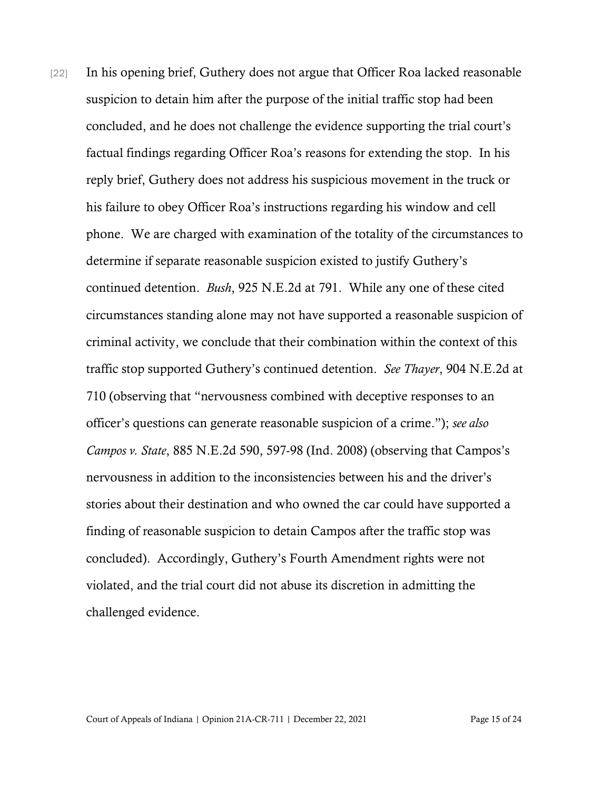[22] In his opening brief, Guthery does not argue that Officer Roa lacked reasonable suspicion to detain him after the purpose of the initial traffic stop had been concluded, and he does not challenge the evidence supporting the trial court's factual findings regarding Officer Roa's reasons for extending the stop. In his reply brief, Guthery does not address his suspicious movement in the truck or his failure to obey Officer Roa's instructions regarding his window and cell phone. We are charged with examination of the totality of the circumstances to determine if separate reasonable suspicion existed to justify Guthery's continued detention. *Bush*, 925 N.E.2d at 791. While any one of these cited circumstances standing alone may not have supported a reasonable suspicion of criminal activity, we conclude that their combination within the context of this traffic stop supported Guthery's continued detention. *See Thayer*, 904 N.E.2d at 710 (observing that "nervousness combined with deceptive responses to an officer's questions can generate reasonable suspicion of a crime."); *see also Campos v. State*, 885 N.E.2d 590, 597-98 (Ind. 2008) (observing that Campos's nervousness in addition to the inconsistencies between his and the driver's stories about their destination and who owned the car could have supported a finding of reasonable suspicion to detain Campos after the traffic stop was concluded). Accordingly, Guthery's Fourth Amendment rights were not violated, and the trial court did not abuse its discretion in admitting the challenged evidence.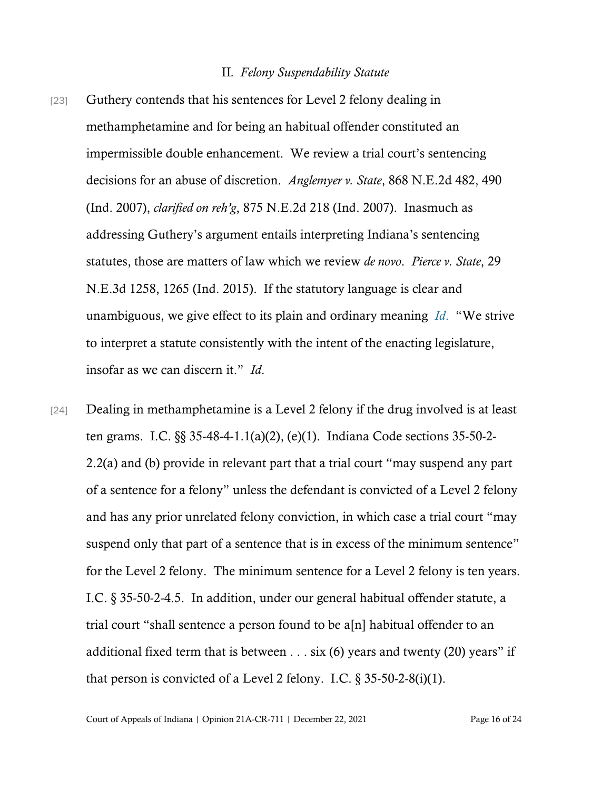#### II*. Felony Suspendability Statute*

- [23] Guthery contends that his sentences for Level 2 felony dealing in methamphetamine and for being an habitual offender constituted an impermissible double enhancement. We review a trial court's sentencing decisions for an abuse of discretion. *Anglemyer v. State*, 868 N.E.2d 482, 490 (Ind. 2007), *clarified on reh'g*, 875 N.E.2d 218 (Ind. 2007). Inasmuch as addressing Guthery's argument entails interpreting Indiana's sentencing statutes, those are matters of law which we review *de novo*. *Pierce v. State*, 29 N.E.3d 1258, 1265 (Ind. 2015). If the statutory language is clear and unambiguous, we give effect to its plain and ordinary meaning *[Id](https://www.westlaw.com/Document/Ifaa83e0cf96511e4b4bafa136b480ad2/View/FullText.html?transitionType=Default&contextData=(sc.Default)&VR=3.0&RS=da3.0)*[.](https://www.westlaw.com/Document/Ifaa83e0cf96511e4b4bafa136b480ad2/View/FullText.html?transitionType=Default&contextData=(sc.Default)&VR=3.0&RS=da3.0) "We strive to interpret a statute consistently with the intent of the enacting legislature, insofar as we can discern it." *Id*.
- [24] Dealing in methamphetamine is a Level 2 felony if the drug involved is at least ten grams. I.C. §§ 35-48-4-1.1(a)(2), (e)(1). Indiana Code sections 35-50-2- 2.2(a) and (b) provide in relevant part that a trial court "may suspend any part of a sentence for a felony" unless the defendant is convicted of a Level 2 felony and has any prior unrelated felony conviction, in which case a trial court "may suspend only that part of a sentence that is in excess of the minimum sentence" for the Level 2 felony. The minimum sentence for a Level 2 felony is ten years. I.C. § 35-50-2-4.5. In addition, under our general habitual offender statute, a trial court "shall sentence a person found to be a[n] habitual offender to an additional fixed term that is between  $\dots$  six (6) years and twenty (20) years" if that person is convicted of a Level 2 felony. I.C.  $\S 35-50-2-8(i)(1)$ .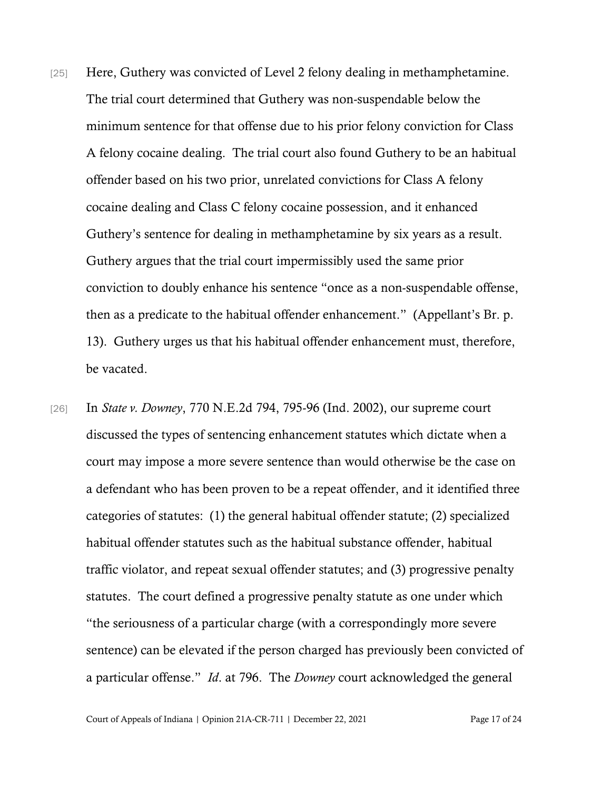- [25] Here, Guthery was convicted of Level 2 felony dealing in methamphetamine. The trial court determined that Guthery was non-suspendable below the minimum sentence for that offense due to his prior felony conviction for Class A felony cocaine dealing. The trial court also found Guthery to be an habitual offender based on his two prior, unrelated convictions for Class A felony cocaine dealing and Class C felony cocaine possession, and it enhanced Guthery's sentence for dealing in methamphetamine by six years as a result. Guthery argues that the trial court impermissibly used the same prior conviction to doubly enhance his sentence "once as a non-suspendable offense, then as a predicate to the habitual offender enhancement." (Appellant's Br. p. 13). Guthery urges us that his habitual offender enhancement must, therefore, be vacated.
- [26] In *State v. Downey*, 770 N.E.2d 794, 795-96 (Ind. 2002), our supreme court discussed the types of sentencing enhancement statutes which dictate when a court may impose a more severe sentence than would otherwise be the case on a defendant who has been proven to be a repeat offender, and it identified three categories of statutes: (1) the general habitual offender statute; (2) specialized habitual offender statutes such as the habitual substance offender, habitual traffic violator, and repeat sexual offender statutes; and (3) progressive penalty statutes. The court defined a progressive penalty statute as one under which "the seriousness of a particular charge (with a correspondingly more severe sentence) can be elevated if the person charged has previously been convicted of a particular offense." *Id*. at 796. The *Downey* court acknowledged the general

Court of Appeals of Indiana | Opinion 21A-CR-711 | December 22, 2021 Page 17 of 24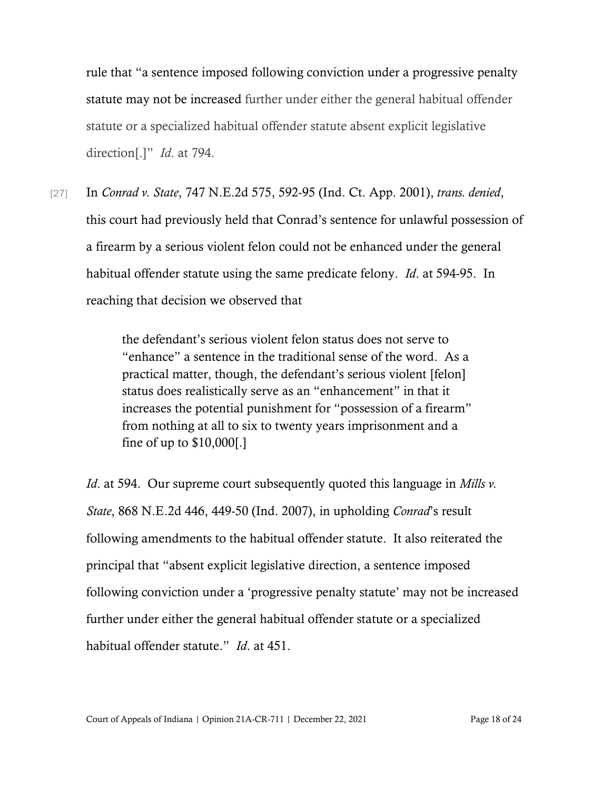rule that "a sentence imposed following conviction under a progressive penalty statute may not be increased further under either the general habitual offender statute or a specialized habitual offender statute absent explicit legislative direction[.]" *Id*. at 794.

[27] In *Conrad v. State*, 747 N.E.2d 575, 592-95 (Ind. Ct. App. 2001), *trans. denied*, this court had previously held that Conrad's sentence for unlawful possession of a firearm by a serious violent felon could not be enhanced under the general habitual offender statute using the same predicate felony. *Id*. at 594-95. In reaching that decision we observed that

> the defendant's serious violent felon status does not serve to "enhance" a sentence in the traditional sense of the word. As a practical matter, though, the defendant's serious violent [felon] status does realistically serve as an "enhancement" in that it increases the potential punishment for "possession of a firearm" from nothing at all to six to twenty years imprisonment and a fine of up to \$10,000[.]

*Id*. at 594. Our supreme court subsequently quoted this language in *Mills v. State*, 868 N.E.2d 446, 449-50 (Ind. 2007), in upholding *Conrad*'s result following amendments to the habitual offender statute. It also reiterated the principal that "absent explicit legislative direction, a sentence imposed following conviction under a 'progressive penalty statute' may not be increased further under either the general habitual offender statute or a specialized habitual offender statute." *Id*. at 451.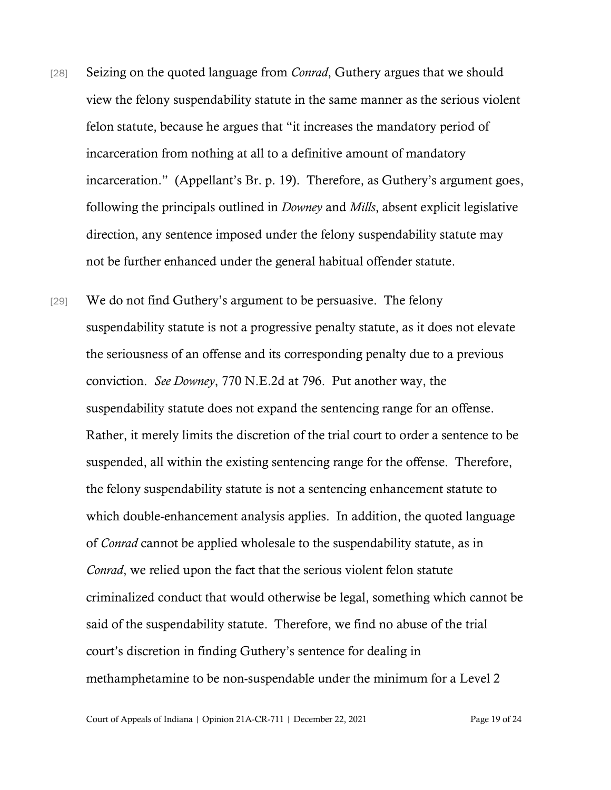- [28] Seizing on the quoted language from *Conrad*, Guthery argues that we should view the felony suspendability statute in the same manner as the serious violent felon statute, because he argues that "it increases the mandatory period of incarceration from nothing at all to a definitive amount of mandatory incarceration." (Appellant's Br. p. 19). Therefore, as Guthery's argument goes, following the principals outlined in *Downey* and *Mills*, absent explicit legislative direction, any sentence imposed under the felony suspendability statute may not be further enhanced under the general habitual offender statute.
- [29] We do not find Guthery's argument to be persuasive. The felony suspendability statute is not a progressive penalty statute, as it does not elevate the seriousness of an offense and its corresponding penalty due to a previous conviction. *See Downey*, 770 N.E.2d at 796. Put another way, the suspendability statute does not expand the sentencing range for an offense. Rather, it merely limits the discretion of the trial court to order a sentence to be suspended, all within the existing sentencing range for the offense. Therefore, the felony suspendability statute is not a sentencing enhancement statute to which double-enhancement analysis applies. In addition, the quoted language of *Conrad* cannot be applied wholesale to the suspendability statute, as in *Conrad*, we relied upon the fact that the serious violent felon statute criminalized conduct that would otherwise be legal, something which cannot be said of the suspendability statute. Therefore, we find no abuse of the trial court's discretion in finding Guthery's sentence for dealing in methamphetamine to be non-suspendable under the minimum for a Level 2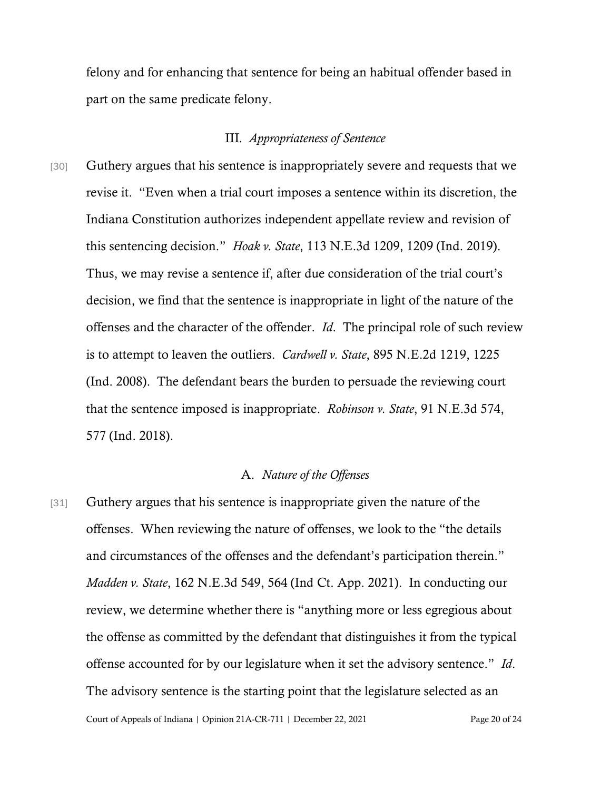felony and for enhancing that sentence for being an habitual offender based in part on the same predicate felony.

### III*. Appropriateness of Sentence*

[30] Guthery argues that his sentence is inappropriately severe and requests that we revise it. "Even when a trial court imposes a sentence within its discretion, the Indiana Constitution authorizes independent appellate review and revision of this sentencing decision." *Hoak v. State*, 113 N.E.3d 1209, 1209 (Ind. 2019). Thus, we may revise a sentence if, after due consideration of the trial court's decision, we find that the sentence is inappropriate in light of the nature of the offenses and the character of the offender. *Id*. The principal role of such review is to attempt to leaven the outliers. *Cardwell v. State*, 895 N.E.2d 1219, 1225 (Ind. 2008). The defendant bears the burden to persuade the reviewing court that the sentence imposed is inappropriate. *Robinson v. State*, 91 N.E.3d 574, 577 (Ind. 2018).

### A. *Nature of the Offenses*

Court of Appeals of Indiana | Opinion 21A-CR-711 | December 22, 2021 Page 20 of 24 [31] Guthery argues that his sentence is inappropriate given the nature of the offenses. When reviewing the nature of offenses, we look to the "the details and circumstances of the offenses and the defendant's participation therein." *Madden v. State*, 162 N.E.3d 549, 564 (Ind Ct. App. 2021). In conducting our review, we determine whether there is "anything more or less egregious about the offense as committed by the defendant that distinguishes it from the typical offense accounted for by our legislature when it set the advisory sentence." *Id*. The advisory sentence is the starting point that the legislature selected as an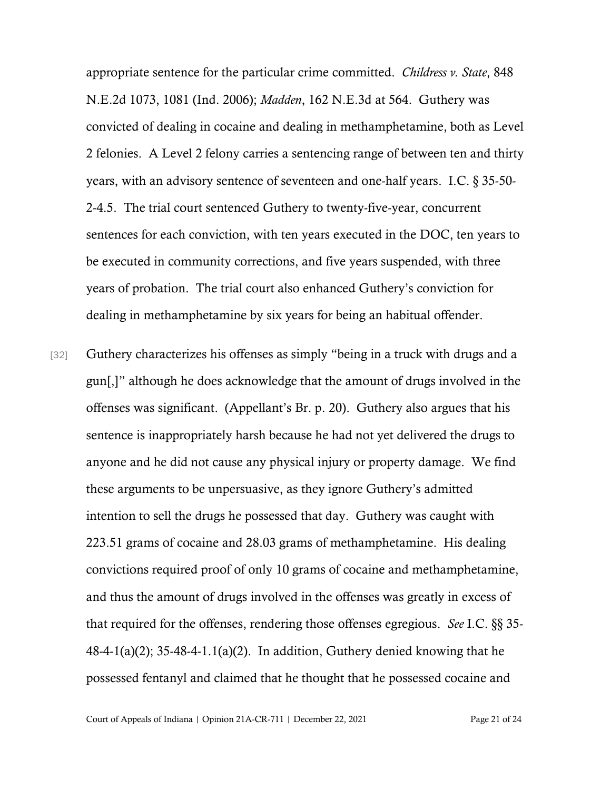appropriate sentence for the particular crime committed. *Childress v. State*, 848 N.E.2d 1073, 1081 (Ind. 2006); *Madden*, 162 N.E.3d at 564. Guthery was convicted of dealing in cocaine and dealing in methamphetamine, both as Level 2 felonies. A Level 2 felony carries a sentencing range of between ten and thirty years, with an advisory sentence of seventeen and one-half years. I.C. § 35-50- 2-4.5. The trial court sentenced Guthery to twenty-five-year, concurrent sentences for each conviction, with ten years executed in the DOC, ten years to be executed in community corrections, and five years suspended, with three years of probation. The trial court also enhanced Guthery's conviction for dealing in methamphetamine by six years for being an habitual offender.

[32] Guthery characterizes his offenses as simply "being in a truck with drugs and a gun[,]" although he does acknowledge that the amount of drugs involved in the offenses was significant. (Appellant's Br. p. 20). Guthery also argues that his sentence is inappropriately harsh because he had not yet delivered the drugs to anyone and he did not cause any physical injury or property damage. We find these arguments to be unpersuasive, as they ignore Guthery's admitted intention to sell the drugs he possessed that day. Guthery was caught with 223.51 grams of cocaine and 28.03 grams of methamphetamine. His dealing convictions required proof of only 10 grams of cocaine and methamphetamine, and thus the amount of drugs involved in the offenses was greatly in excess of that required for the offenses, rendering those offenses egregious. *See* I.C. §§ 35- 48-4-1(a)(2); 35-48-4-1.1(a)(2). In addition, Guthery denied knowing that he possessed fentanyl and claimed that he thought that he possessed cocaine and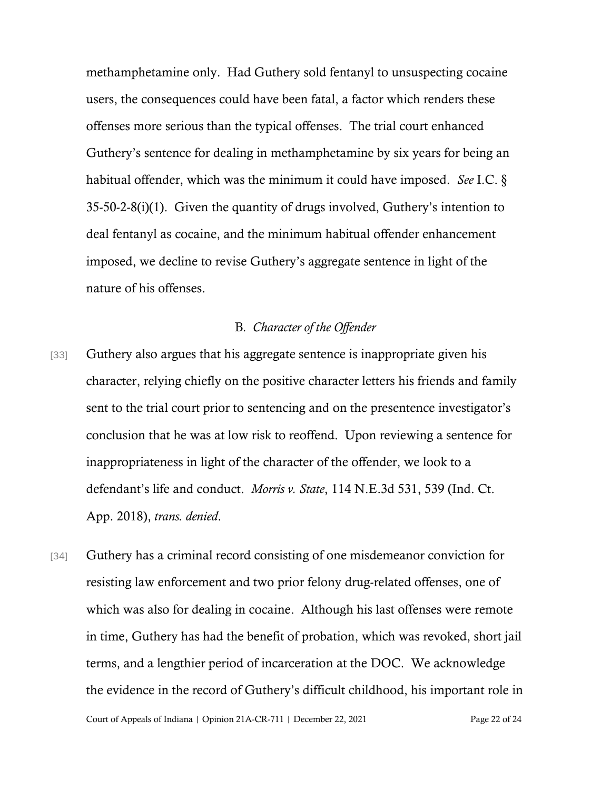methamphetamine only. Had Guthery sold fentanyl to unsuspecting cocaine users, the consequences could have been fatal, a factor which renders these offenses more serious than the typical offenses. The trial court enhanced Guthery's sentence for dealing in methamphetamine by six years for being an habitual offender, which was the minimum it could have imposed. *See* I.C. § 35-50-2-8(i)(1). Given the quantity of drugs involved, Guthery's intention to deal fentanyl as cocaine, and the minimum habitual offender enhancement imposed, we decline to revise Guthery's aggregate sentence in light of the nature of his offenses.

### B*. Character of the Offender*

- [33] Guthery also argues that his aggregate sentence is inappropriate given his character, relying chiefly on the positive character letters his friends and family sent to the trial court prior to sentencing and on the presentence investigator's conclusion that he was at low risk to reoffend. Upon reviewing a sentence for inappropriateness in light of the character of the offender, we look to a defendant's life and conduct. *Morris v. State*, 114 N.E.3d 531, 539 (Ind. Ct. App. 2018), *trans. denied*.
- [34] Guthery has a criminal record consisting of one misdemeanor conviction for resisting law enforcement and two prior felony drug-related offenses, one of which was also for dealing in cocaine. Although his last offenses were remote in time, Guthery has had the benefit of probation, which was revoked, short jail terms, and a lengthier period of incarceration at the DOC. We acknowledge the evidence in the record of Guthery's difficult childhood, his important role in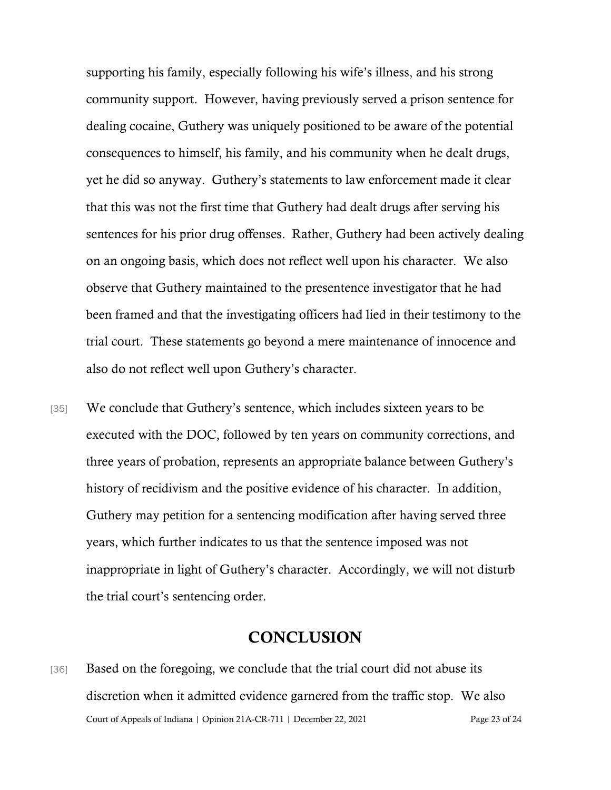supporting his family, especially following his wife's illness, and his strong community support. However, having previously served a prison sentence for dealing cocaine, Guthery was uniquely positioned to be aware of the potential consequences to himself, his family, and his community when he dealt drugs, yet he did so anyway. Guthery's statements to law enforcement made it clear that this was not the first time that Guthery had dealt drugs after serving his sentences for his prior drug offenses. Rather, Guthery had been actively dealing on an ongoing basis, which does not reflect well upon his character. We also observe that Guthery maintained to the presentence investigator that he had been framed and that the investigating officers had lied in their testimony to the trial court. These statements go beyond a mere maintenance of innocence and also do not reflect well upon Guthery's character.

[35] We conclude that Guthery's sentence, which includes sixteen years to be executed with the DOC, followed by ten years on community corrections, and three years of probation, represents an appropriate balance between Guthery's history of recidivism and the positive evidence of his character. In addition, Guthery may petition for a sentencing modification after having served three years, which further indicates to us that the sentence imposed was not inappropriate in light of Guthery's character. Accordingly, we will not disturb the trial court's sentencing order.

# **CONCLUSION**

Court of Appeals of Indiana | Opinion 21A-CR-711 | December 22, 2021 Page 23 of 24 [36] Based on the foregoing, we conclude that the trial court did not abuse its discretion when it admitted evidence garnered from the traffic stop. We also